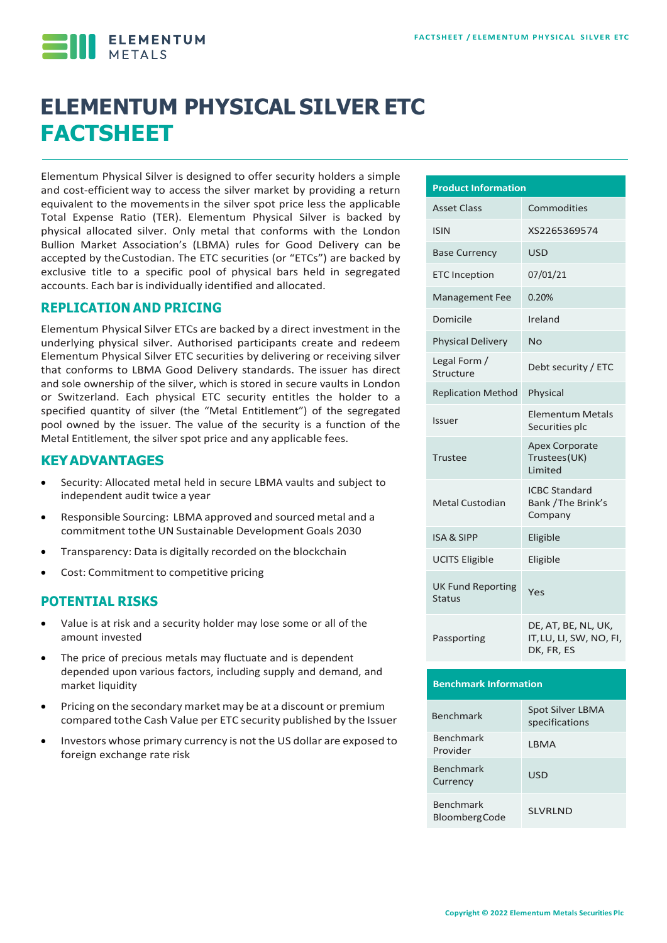**ELEMENTUM** 

# **ELEMENTUM PHYSICAL SILVER ETC FACTSHEET**

Elementum Physical Silver is designed to offer security holders a simple and cost-efficient way to access the silver market by providing a return equivalent to the movementsin the silver spot price less the applicable Total Expense Ratio (TER). Elementum Physical Silver is backed by physical allocated silver. Only metal that conforms with the London Bullion Market Association's (LBMA) rules for Good Delivery can be accepted by theCustodian. The ETC securities (or "ETCs") are backed by exclusive title to a specific pool of physical bars held in segregated accounts. Each bar is individually identified and allocated.

#### **REPLICATION AND PRICING**

Elementum Physical Silver ETCs are backed by a direct investment in the underlying physical silver. Authorised participants create and redeem Elementum Physical Silver ETC securities by delivering or receiving silver that conforms to LBMA Good Delivery standards. The issuer has direct and sole ownership of the silver, which is stored in secure vaults in London or Switzerland. Each physical ETC security entitles the holder to a specified quantity of silver (the "Metal Entitlement") of the segregated pool owned by the issuer. The value of the security is a function of the Metal Entitlement, the silver spot price and any applicable fees.

#### **KEYADVANTAGES**

- Security: Allocated metal held in secure LBMA vaults and subject to independent audit twice a year
- Responsible Sourcing: LBMA approved and sourced metal and a commitment tothe UN Sustainable Development Goals 2030
- Transparency: Data is digitally recorded on the blockchain
- Cost: Commitment to competitive pricing

#### **POTENTIAL RISKS**

- Value is at risk and a security holder may lose some or all of the amount invested
- The price of precious metals may fluctuate and is dependent depended upon various factors, including supply and demand, and market liquidity
- Pricing on the secondary market may be at a discount or premium compared tothe Cash Value per ETC security published by the Issuer
- Investors whose primary currency is not the US dollar are exposed to foreign exchange rate risk

| <b>Product Information</b>                |                                                              |  |  |  |  |
|-------------------------------------------|--------------------------------------------------------------|--|--|--|--|
| <b>Asset Class</b>                        | Commodities                                                  |  |  |  |  |
| <b>ISIN</b>                               | XS2265369574                                                 |  |  |  |  |
| <b>Base Currency</b>                      | <b>USD</b>                                                   |  |  |  |  |
| <b>ETC Inception</b>                      | 07/01/21                                                     |  |  |  |  |
| <b>Management Fee</b>                     | 0.20%                                                        |  |  |  |  |
| Domicile                                  | Ireland                                                      |  |  |  |  |
| <b>Physical Delivery</b>                  | No                                                           |  |  |  |  |
| Legal Form /<br>Structure                 | Debt security / ETC                                          |  |  |  |  |
| <b>Replication Method</b>                 | Physical                                                     |  |  |  |  |
| <b>Issuer</b>                             | <b>Elementum Metals</b><br>Securities plc                    |  |  |  |  |
| Trustee                                   | <b>Apex Corporate</b><br>Trustees (UK)<br><b>Limited</b>     |  |  |  |  |
| Metal Custodian                           | <b>ICBC Standard</b><br>Bank / The Brink's<br>Company        |  |  |  |  |
| <b>ISA &amp; SIPP</b>                     | Eligible                                                     |  |  |  |  |
| <b>UCITS Eligible</b>                     | Eligible                                                     |  |  |  |  |
| <b>UK Fund Reporting</b><br><b>Status</b> | Yes                                                          |  |  |  |  |
| Passporting                               | DE, AT, BE, NL, UK,<br>IT, LU, LI, SW, NO, FI,<br>DK, FR, ES |  |  |  |  |

#### **Benchmark Information**

| <b>Benchmark</b>                         | Spot Silver LBMA<br>specifications |
|------------------------------------------|------------------------------------|
| <b>Benchmark</b><br>Provider             | I BMA                              |
| <b>Benchmark</b><br>Currency             | <b>USD</b>                         |
| <b>Benchmark</b><br><b>BloombergCode</b> | <b>SI VRI ND</b>                   |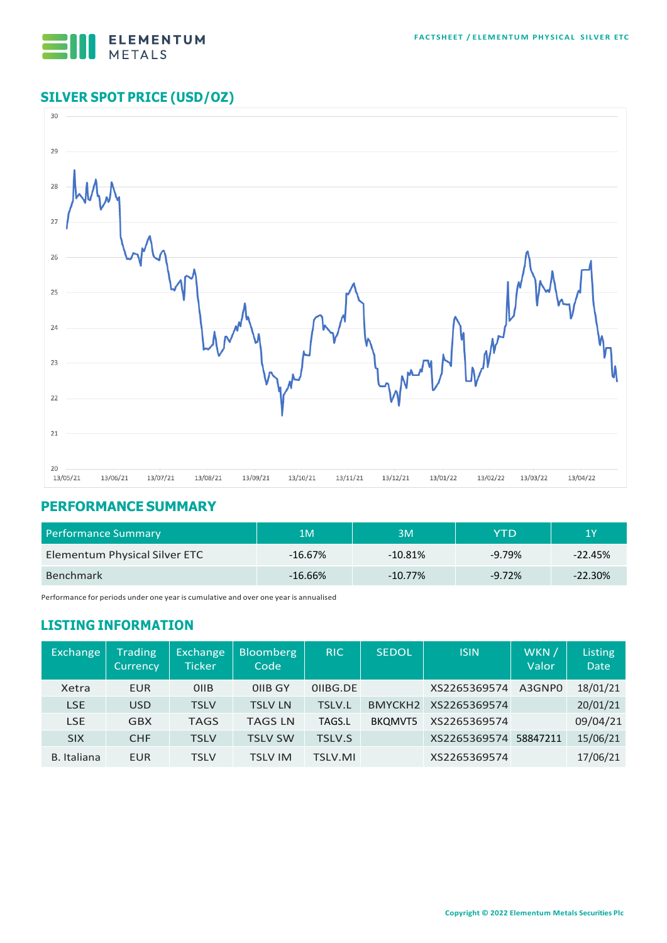

## **SILVER SPOT PRICE (USD/OZ)**



#### **PERFORMANCE SUMMARY**

| <b>Performance Summary</b>    | 1M         | ЗM         | YTD       | 1Y        |  |
|-------------------------------|------------|------------|-----------|-----------|--|
| Elementum Physical Silver ETC | $-16.67\%$ | $-10.81\%$ | $-9.79\%$ | $-22.45%$ |  |
| <b>Benchmark</b>              | $-16.66%$  | $-10.77%$  | $-9.72%$  | $-22.30%$ |  |

Performance for periods under one year is cumulative and over one year is annualised

### **LISTING INFORMATION**

| Exchange           | <b>Trading</b><br><b>Currency</b> | Exchange<br>Ticker | <b>Bloomberg</b><br>Code | <b>RIC</b>     | <b>SEDOL</b>        | <b>ISIN</b>  | WKN /<br>Valor | Listing<br><b>Date</b> |
|--------------------|-----------------------------------|--------------------|--------------------------|----------------|---------------------|--------------|----------------|------------------------|
| Xetra              | <b>EUR</b>                        | <b>OIIB</b>        | OIIB GY                  | OIIBG.DE       |                     | XS2265369574 | A3GNP0         | 18/01/21               |
| <b>LSE</b>         | <b>USD</b>                        | <b>TSLV</b>        | <b>TSLV LN</b>           | <b>TSLV.L</b>  | BMYCKH <sub>2</sub> | XS2265369574 |                | 20/01/21               |
| <b>LSE</b>         | <b>GBX</b>                        | <b>TAGS</b>        | <b>TAGS LN</b>           | TAGS.L         | BKOMVT5             | XS2265369574 |                | 09/04/21               |
| <b>SIX</b>         | <b>CHF</b>                        | <b>TSLV</b>        | <b>TSLV SW</b>           | <b>TSLV.S</b>  |                     | XS2265369574 | 58847211       | 15/06/21               |
| <b>B.</b> Italiana | <b>EUR</b>                        | <b>TSLV</b>        | TSLV IM                  | <b>TSLV.MI</b> |                     | XS2265369574 |                | 17/06/21               |